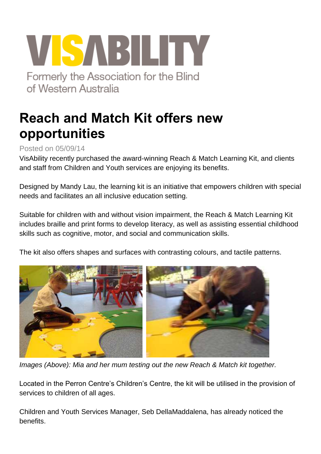## VISABILITY Formerly the Association for the Blind of Western Australia

## **Reach and Match Kit offers new opportunities**

Posted on 05/09/14

VisAbility recently purchased the award-winning Reach & Match Learning Kit, and clients and staff from Children and Youth services are enjoying its benefits.

Designed by Mandy Lau, the learning kit is an initiative that empowers children with special needs and facilitates an all inclusive education setting.

Suitable for children with and without vision impairment, the Reach & Match Learning Kit includes braille and print forms to develop literacy, as well as assisting essential childhood skills such as cognitive, motor, and social and communication skills.

The kit also offers shapes and surfaces with contrasting colours, and tactile patterns.



*Images (Above): Mia and her mum testing out the new Reach & Match kit together.*

Located in the Perron Centre's Children's Centre, the kit will be utilised in the provision of services to children of all ages.

Children and Youth Services Manager, Seb DellaMaddalena, has already noticed the benefits.